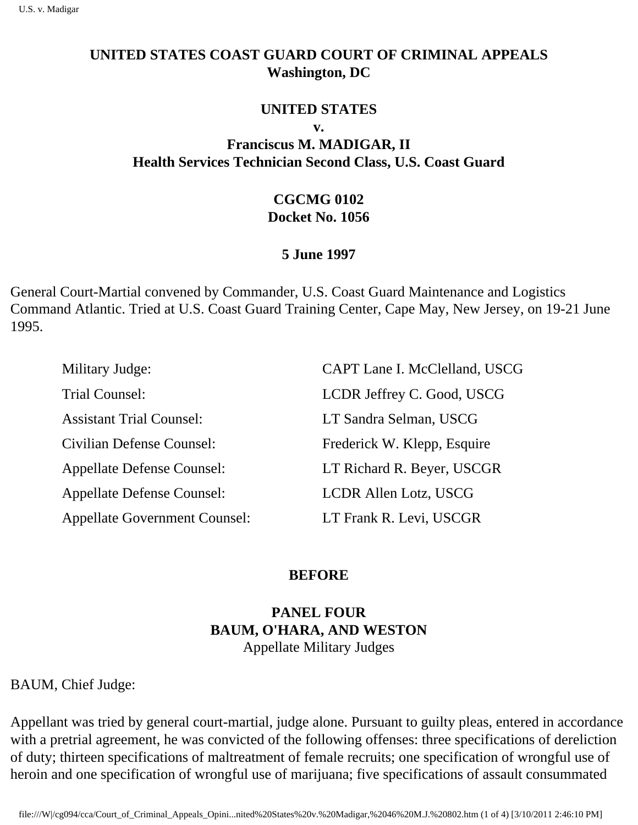## **UNITED STATES COAST GUARD COURT OF CRIMINAL APPEALS Washington, DC**

#### **UNITED STATES**

**v.**

# **Franciscus M. MADIGAR, II Health Services Technician Second Class, U.S. Coast Guard**

## **CGCMG 0102 Docket No. 1056**

### **5 June 1997**

General Court-Martial convened by Commander, U.S. Coast Guard Maintenance and Logistics Command Atlantic. Tried at U.S. Coast Guard Training Center, Cape May, New Jersey, on 19-21 June 1995.

| Military Judge:                      | CAPT Lane I. McClelland, USCG |
|--------------------------------------|-------------------------------|
| Trial Counsel:                       | LCDR Jeffrey C. Good, USCG    |
| <b>Assistant Trial Counsel:</b>      | LT Sandra Selman, USCG        |
| Civilian Defense Counsel:            | Frederick W. Klepp, Esquire   |
| <b>Appellate Defense Counsel:</b>    | LT Richard R. Beyer, USCGR    |
| <b>Appellate Defense Counsel:</b>    | LCDR Allen Lotz, USCG         |
| <b>Appellate Government Counsel:</b> | LT Frank R. Levi, USCGR       |

## **BEFORE**

## **PANEL FOUR BAUM, O'HARA, AND WESTON** Appellate Military Judges

BAUM, Chief Judge:

Appellant was tried by general court-martial, judge alone. Pursuant to guilty pleas, entered in accordance with a pretrial agreement, he was convicted of the following offenses: three specifications of dereliction of duty; thirteen specifications of maltreatment of female recruits; one specification of wrongful use of heroin and one specification of wrongful use of marijuana; five specifications of assault consummated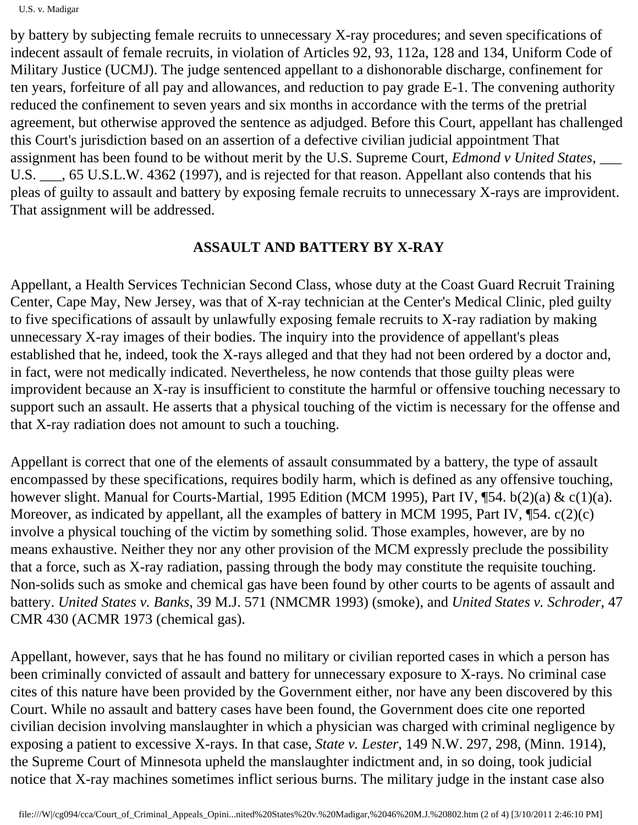U.S. v. Madigar

by battery by subjecting female recruits to unnecessary X-ray procedures; and seven specifications of indecent assault of female recruits, in violation of Articles 92, 93, 112a, 128 and 134, Uniform Code of Military Justice (UCMJ). The judge sentenced appellant to a dishonorable discharge, confinement for ten years, forfeiture of all pay and allowances, and reduction to pay grade E-1. The convening authority reduced the confinement to seven years and six months in accordance with the terms of the pretrial agreement, but otherwise approved the sentence as adjudged. Before this Court, appellant has challenged this Court's jurisdiction based on an assertion of a defective civilian judicial appointment That assignment has been found to be without merit by the U.S. Supreme Court, *Edmond v United States*, \_\_\_ U.S. \_\_\_, 65 U.S.L.W. 4362 (1997), and is rejected for that reason. Appellant also contends that his pleas of guilty to assault and battery by exposing female recruits to unnecessary X-rays are improvident. That assignment will be addressed.

## **ASSAULT AND BATTERY BY X-RAY**

Appellant, a Health Services Technician Second Class, whose duty at the Coast Guard Recruit Training Center, Cape May, New Jersey, was that of X-ray technician at the Center's Medical Clinic, pled guilty to five specifications of assault by unlawfully exposing female recruits to X-ray radiation by making unnecessary X-ray images of their bodies. The inquiry into the providence of appellant's pleas established that he, indeed, took the X-rays alleged and that they had not been ordered by a doctor and, in fact, were not medically indicated. Nevertheless, he now contends that those guilty pleas were improvident because an X-ray is insufficient to constitute the harmful or offensive touching necessary to support such an assault. He asserts that a physical touching of the victim is necessary for the offense and that X-ray radiation does not amount to such a touching.

Appellant is correct that one of the elements of assault consummated by a battery, the type of assault encompassed by these specifications, requires bodily harm, which is defined as any offensive touching, however slight. Manual for Courts-Martial, 1995 Edition (MCM 1995), Part IV, ¶54. b(2)(a) & c(1)(a). Moreover, as indicated by appellant, all the examples of battery in MCM 1995, Part IV, ¶54. c(2)(c) involve a physical touching of the victim by something solid. Those examples, however, are by no means exhaustive. Neither they nor any other provision of the MCM expressly preclude the possibility that a force, such as X-ray radiation, passing through the body may constitute the requisite touching. Non-solids such as smoke and chemical gas have been found by other courts to be agents of assault and battery. *United States v. Banks*, 39 M.J. 571 (NMCMR 1993) (smoke), and *United States v. Schroder*, 47 CMR 430 (ACMR 1973 (chemical gas).

Appellant, however, says that he has found no military or civilian reported cases in which a person has been criminally convicted of assault and battery for unnecessary exposure to X-rays. No criminal case cites of this nature have been provided by the Government either, nor have any been discovered by this Court. While no assault and battery cases have been found, the Government does cite one reported civilian decision involving manslaughter in which a physician was charged with criminal negligence by exposing a patient to excessive X-rays. In that case, *State v. Lester*, 149 N.W. 297, 298, (Minn. 1914), the Supreme Court of Minnesota upheld the manslaughter indictment and, in so doing, took judicial notice that X-ray machines sometimes inflict serious burns. The military judge in the instant case also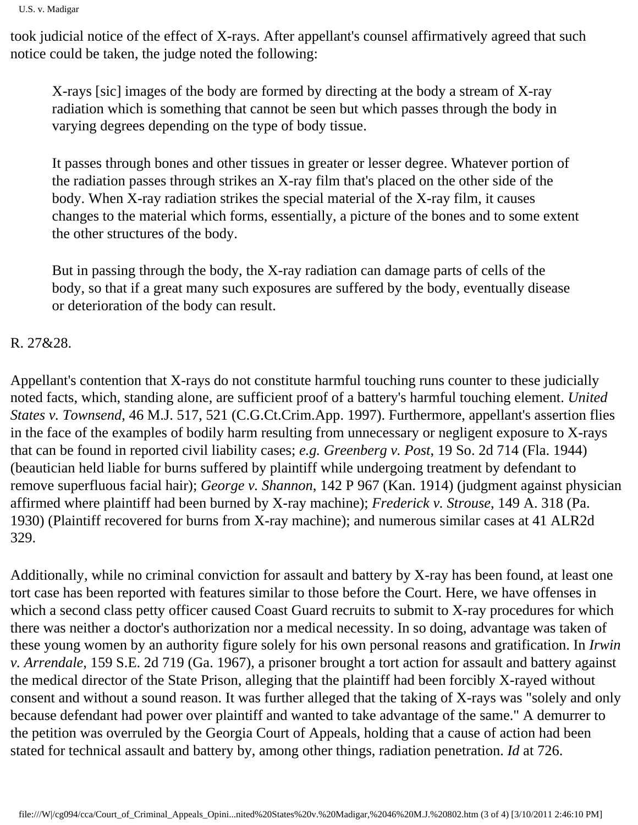took judicial notice of the effect of X-rays. After appellant's counsel affirmatively agreed that such notice could be taken, the judge noted the following:

X-rays [sic] images of the body are formed by directing at the body a stream of X-ray radiation which is something that cannot be seen but which passes through the body in varying degrees depending on the type of body tissue.

It passes through bones and other tissues in greater or lesser degree. Whatever portion of the radiation passes through strikes an X-ray film that's placed on the other side of the body. When X-ray radiation strikes the special material of the X-ray film, it causes changes to the material which forms, essentially, a picture of the bones and to some extent the other structures of the body.

But in passing through the body, the X-ray radiation can damage parts of cells of the body, so that if a great many such exposures are suffered by the body, eventually disease or deterioration of the body can result.

## R. 27&28.

Appellant's contention that X-rays do not constitute harmful touching runs counter to these judicially noted facts, which, standing alone, are sufficient proof of a battery's harmful touching element. *United States v. Townsend*, 46 M.J. 517, 521 (C.G.Ct.Crim.App. 1997). Furthermore, appellant's assertion flies in the face of the examples of bodily harm resulting from unnecessary or negligent exposure to X-rays that can be found in reported civil liability cases; *e.g. Greenberg v. Post*, 19 So. 2d 714 (Fla. 1944) (beautician held liable for burns suffered by plaintiff while undergoing treatment by defendant to remove superfluous facial hair); *George v. Shannon*, 142 P 967 (Kan. 1914) (judgment against physician affirmed where plaintiff had been burned by X-ray machine); *Frederick v. Strouse*, 149 A. 318 (Pa. 1930) (Plaintiff recovered for burns from X-ray machine); and numerous similar cases at 41 ALR2d 329.

Additionally, while no criminal conviction for assault and battery by X-ray has been found, at least one tort case has been reported with features similar to those before the Court. Here, we have offenses in which a second class petty officer caused Coast Guard recruits to submit to X-ray procedures for which there was neither a doctor's authorization nor a medical necessity. In so doing, advantage was taken of these young women by an authority figure solely for his own personal reasons and gratification. In *Irwin v. Arrendale*, 159 S.E. 2d 719 (Ga. 1967), a prisoner brought a tort action for assault and battery against the medical director of the State Prison, alleging that the plaintiff had been forcibly X-rayed without consent and without a sound reason. It was further alleged that the taking of X-rays was "solely and only because defendant had power over plaintiff and wanted to take advantage of the same." A demurrer to the petition was overruled by the Georgia Court of Appeals, holding that a cause of action had been stated for technical assault and battery by, among other things, radiation penetration. *Id* at 726.